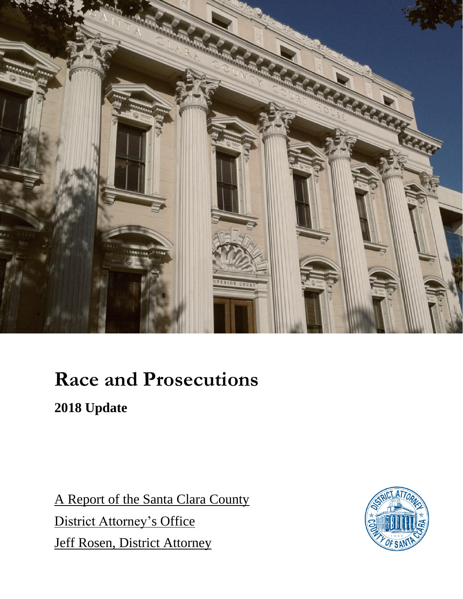

### **Race and Prosecutions**

**2018 Update**

A Report of the Santa Clara County District Attorney's Office Jeff Rosen, District Attorney

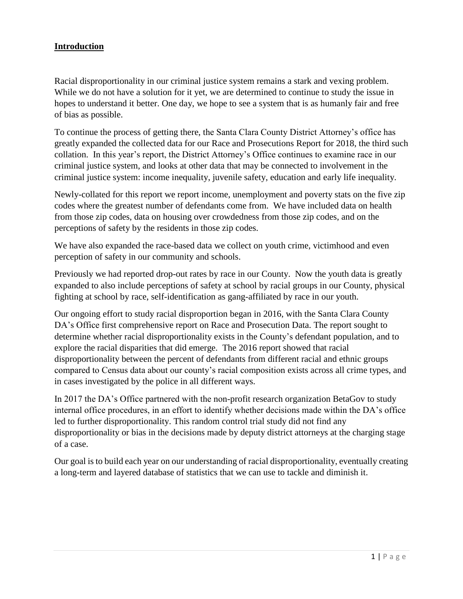#### **Introduction**

Racial disproportionality in our criminal justice system remains a stark and vexing problem. While we do not have a solution for it yet, we are determined to continue to study the issue in hopes to understand it better. One day, we hope to see a system that is as humanly fair and free of bias as possible.

To continue the process of getting there, the Santa Clara County District Attorney's office has greatly expanded the collected data for our Race and Prosecutions Report for 2018, the third such collation. In this year's report, the District Attorney's Office continues to examine race in our criminal justice system, and looks at other data that may be connected to involvement in the criminal justice system: income inequality, juvenile safety, education and early life inequality.

Newly-collated for this report we report income, unemployment and poverty stats on the five zip codes where the greatest number of defendants come from. We have included data on health from those zip codes, data on housing over crowdedness from those zip codes, and on the perceptions of safety by the residents in those zip codes.

We have also expanded the race-based data we collect on youth crime, victimhood and even perception of safety in our community and schools.

Previously we had reported drop-out rates by race in our County. Now the youth data is greatly expanded to also include perceptions of safety at school by racial groups in our County, physical fighting at school by race, self-identification as gang-affiliated by race in our youth.

Our ongoing effort to study racial disproportion began in 2016, with the Santa Clara County DA's Office first comprehensive report on Race and Prosecution Data. The report sought to determine whether racial disproportionality exists in the County's defendant population, and to explore the racial disparities that did emerge. The 2016 report showed that racial disproportionality between the percent of defendants from different racial and ethnic groups compared to Census data about our county's racial composition exists across all crime types, and in cases investigated by the police in all different ways.

In 2017 the DA's Office partnered with the non-profit research organization BetaGov to study internal office procedures, in an effort to identify whether decisions made within the DA's office led to further disproportionality. This random control trial study did not find any disproportionality or bias in the decisions made by deputy district attorneys at the charging stage of a case.

Our goal is to build each year on our understanding of racial disproportionality, eventually creating a long-term and layered database of statistics that we can use to tackle and diminish it.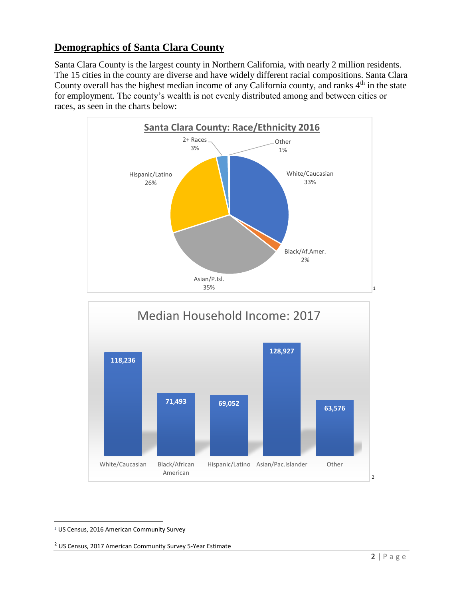### **Demographics of Santa Clara County**

Santa Clara County is the largest county in Northern California, with nearly 2 million residents. The 15 cities in the county are diverse and have widely different racial compositions. Santa Clara County overall has the highest median income of any California county, and ranks 4<sup>th</sup> in the state for employment. The county's wealth is not evenly distributed among and between cities or races, as seen in the charts below:





 $\overline{\phantom{a}}$ *<sup>1</sup>* US Census, 2016 American Community Survey

<sup>2</sup> US Census, 2017 American Community Survey 5-Year Estimate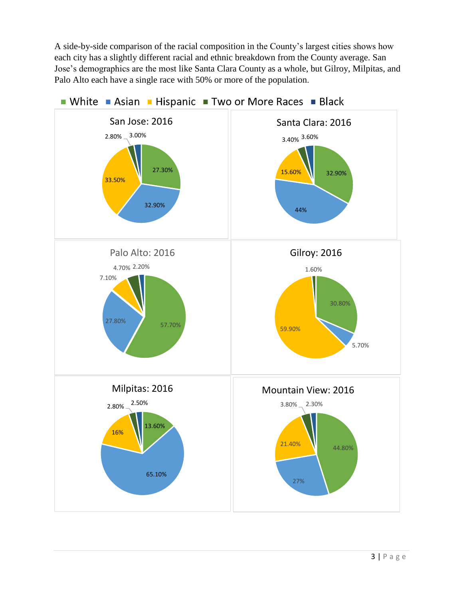A side-by-side comparison of the racial composition in the County's largest cities shows how each city has a slightly different racial and ethnic breakdown from the County average. San Jose's demographics are the most like Santa Clara County as a whole, but Gilroy, Milpitas, and Palo Alto each have a single race with 50% or more of the population.

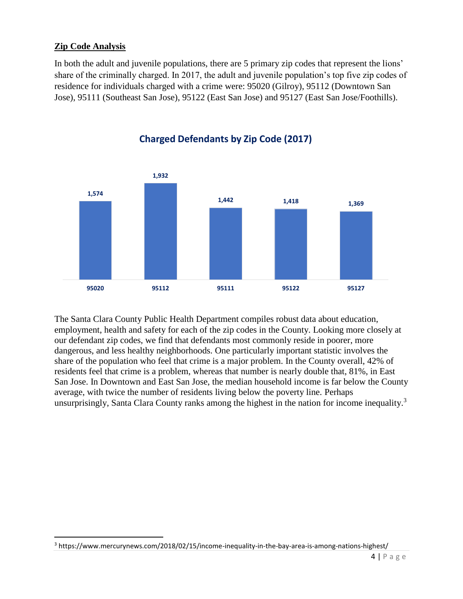#### **Zip Code Analysis**

 $\overline{\phantom{a}}$ 

In both the adult and juvenile populations, there are 5 primary zip codes that represent the lions' share of the criminally charged. In 2017, the adult and juvenile population's top five zip codes of residence for individuals charged with a crime were: 95020 (Gilroy), 95112 (Downtown San Jose), 95111 (Southeast San Jose), 95122 (East San Jose) and 95127 (East San Jose/Foothills).



**Charged Defendants by Zip Code (2017)**

The Santa Clara County Public Health Department compiles robust data about education, employment, health and safety for each of the zip codes in the County. Looking more closely at our defendant zip codes, we find that defendants most commonly reside in poorer, more dangerous, and less healthy neighborhoods. One particularly important statistic involves the share of the population who feel that crime is a major problem. In the County overall, 42% of residents feel that crime is a problem, whereas that number is nearly double that, 81%, in East San Jose. In Downtown and East San Jose, the median household income is far below the County average, with twice the number of residents living below the poverty line. Perhaps unsurprisingly, Santa Clara County ranks among the highest in the nation for income inequality.<sup>3</sup>

<sup>3</sup> https://www.mercurynews.com/2018/02/15/income-inequality-in-the-bay-area-is-among-nations-highest/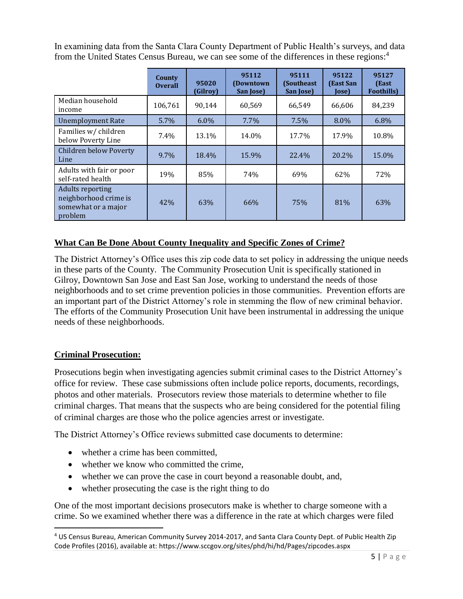In examining data from the Santa Clara County Department of Public Health's surveys, and data from the United States Census Bureau, we can see some of the differences in these regions: 4

|                                                                                    | County<br><b>Overall</b> | 95020<br>(Gilroy) | 95112<br>(Downtown)<br>San Jose) | 95111<br>(Southeast)<br>San Jose) | 95122<br>(East San<br><b>Jose</b> ) | 95127<br>(East<br><b>Foothills</b> ) |
|------------------------------------------------------------------------------------|--------------------------|-------------------|----------------------------------|-----------------------------------|-------------------------------------|--------------------------------------|
| Median household<br>income                                                         | 106,761                  | 90,144            | 60.569                           | 66,549                            | 66,606                              | 84,239                               |
| <b>Unemployment Rate</b>                                                           | 5.7%                     | $6.0\%$           | 7.7%                             | 7.5%                              | 8.0%                                | 6.8%                                 |
| Families w/ children<br>below Poverty Line                                         | 7.4%                     | 13.1%             | 14.0%                            | 17.7%                             | 17.9%                               | 10.8%                                |
| Children below Poverty<br>Line                                                     | $9.7\%$                  | 18.4%             | 15.9%                            | 22.4%                             | 20.2%                               | 15.0%                                |
| Adults with fair or poor<br>self-rated health                                      | 19%                      | 85%               | 74%                              | 69%                               | 62%                                 | 72%                                  |
| <b>Adults reporting</b><br>neighborhood crime is<br>somewhat or a major<br>problem | 42%                      | 63%               | 66%                              | 75%                               | 81%                                 | 63%                                  |

#### **What Can Be Done About County Inequality and Specific Zones of Crime?**

The District Attorney's Office uses this zip code data to set policy in addressing the unique needs in these parts of the County. The Community Prosecution Unit is specifically stationed in Gilroy, Downtown San Jose and East San Jose, working to understand the needs of those neighborhoods and to set crime prevention policies in those communities. Prevention efforts are an important part of the District Attorney's role in stemming the flow of new criminal behavior. The efforts of the Community Prosecution Unit have been instrumental in addressing the unique needs of these neighborhoods.

#### **Criminal Prosecution:**

 $\overline{\phantom{a}}$ 

Prosecutions begin when investigating agencies submit criminal cases to the District Attorney's office for review. These case submissions often include police reports, documents, recordings, photos and other materials. Prosecutors review those materials to determine whether to file criminal charges. That means that the suspects who are being considered for the potential filing of criminal charges are those who the police agencies arrest or investigate.

The District Attorney's Office reviews submitted case documents to determine:

- whether a crime has been committed.
- whether we know who committed the crime,
- whether we can prove the case in court beyond a reasonable doubt, and,
- whether prosecuting the case is the right thing to do

One of the most important decisions prosecutors make is whether to charge someone with a crime. So we examined whether there was a difference in the rate at which charges were filed

<sup>4</sup> US Census Bureau, American Community Survey 2014-2017, and Santa Clara County Dept. of Public Health Zip Code Profiles (2016), available at: https://www.sccgov.org/sites/phd/hi/hd/Pages/zipcodes.aspx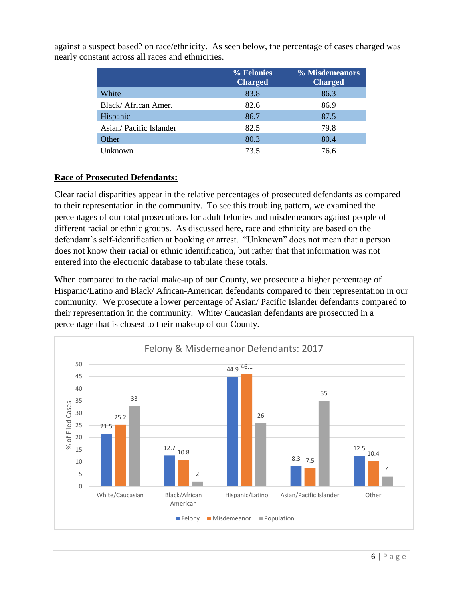|                        | % Felonies<br><b>Charged</b> | % Misdemeanors<br><b>Charged</b> |
|------------------------|------------------------------|----------------------------------|
| White                  | 83.8                         | 86.3                             |
| Black/African Amer.    | 82.6                         | 86.9                             |
| Hispanic               | 86.7                         | 87.5                             |
| Asian/Pacific Islander | 82.5                         | 79.8                             |
| Other                  | 80.3                         | 80.4                             |
| Unknown                | 73.5                         | 76.6                             |

against a suspect based? on race/ethnicity. As seen below, the percentage of cases charged was nearly constant across all races and ethnicities.

### **Race of Prosecuted Defendants:**

Clear racial disparities appear in the relative percentages of prosecuted defendants as compared to their representation in the community. To see this troubling pattern, we examined the percentages of our total prosecutions for adult felonies and misdemeanors against people of different racial or ethnic groups. As discussed here, race and ethnicity are based on the defendant's self-identification at booking or arrest. "Unknown" does not mean that a person does not know their racial or ethnic identification, but rather that that information was not entered into the electronic database to tabulate these totals.

When compared to the racial make-up of our County, we prosecute a higher percentage of Hispanic/Latino and Black/ African-American defendants compared to their representation in our community. We prosecute a lower percentage of Asian/ Pacific Islander defendants compared to their representation in the community. White/ Caucasian defendants are prosecuted in a percentage that is closest to their makeup of our County.

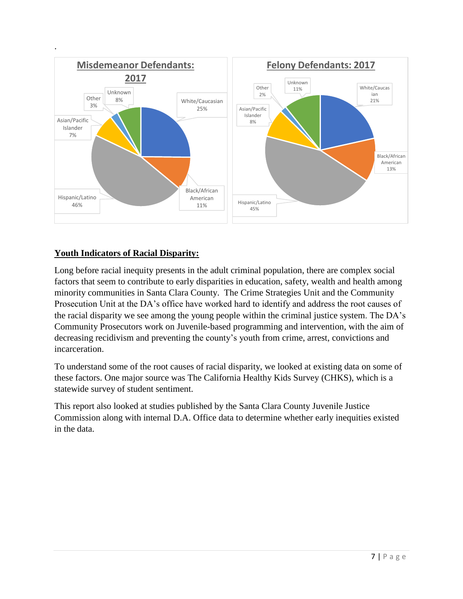

### **Youth Indicators of Racial Disparity:**

Long before racial inequity presents in the adult criminal population, there are complex social factors that seem to contribute to early disparities in education, safety, wealth and health among minority communities in Santa Clara County. The Crime Strategies Unit and the Community Prosecution Unit at the DA's office have worked hard to identify and address the root causes of the racial disparity we see among the young people within the criminal justice system. The DA's Community Prosecutors work on Juvenile-based programming and intervention, with the aim of decreasing recidivism and preventing the county's youth from crime, arrest, convictions and incarceration.

To understand some of the root causes of racial disparity, we looked at existing data on some of these factors. One major source was The California Healthy Kids Survey (CHKS), which is a statewide survey of student sentiment.

This report also looked at studies published by the Santa Clara County Juvenile Justice Commission along with internal D.A. Office data to determine whether early inequities existed in the data.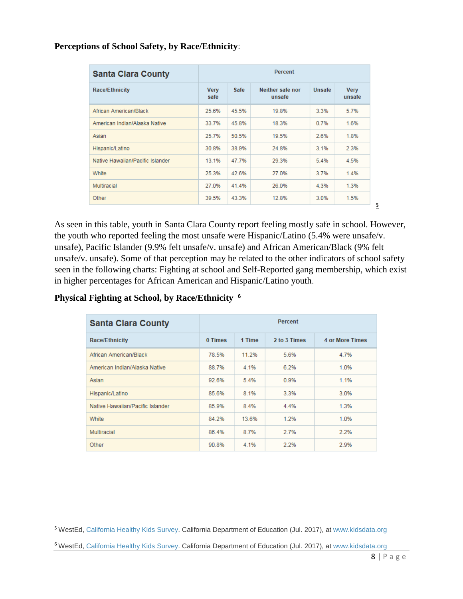#### **Perceptions of School Safety, by Race/Ethnicity**:

| <b>Santa Clara County</b>        | <b>Percent</b>      |             |                            |        |                       |
|----------------------------------|---------------------|-------------|----------------------------|--------|-----------------------|
| <b>Race/Ethnicity</b>            | <b>Very</b><br>safe | <b>Safe</b> | Neither safe nor<br>unsafe | Unsafe | <b>Very</b><br>unsafe |
| African American/Black           | 25.6%               | 45.5%       | 19.8%                      | 3.3%   | 5.7%                  |
| American Indian/Alaska Native    | 33.7%               | 45.8%       | 18.3%                      | 0.7%   | 1.6%                  |
| Asian                            | 25.7%               | 50.5%       | 19.5%                      | 2.6%   | 1.8%                  |
| Hispanic/Latino                  | 30.8%               | 38.9%       | 24.8%                      | 3.1%   | 2.3%                  |
| Native Hawaiian/Pacific Islander | 13.1%               | 47.7%       | 29.3%                      | 5.4%   | 4.5%                  |
| White                            | 25.3%               | 42.6%       | 27.0%                      | 3.7%   | 1.4%                  |
| Multiracial                      | 27.0%               | 41.4%       | 26.0%                      | 4.3%   | 1.3%                  |
| Other                            | 39.5%               | 43.3%       | 12.8%                      | 3.0%   | 1.5%                  |

As seen in this table, youth in Santa Clara County report feeling mostly safe in school. However, the youth who reported feeling the most unsafe were Hispanic/Latino (5.4% were unsafe/v. unsafe), Pacific Islander (9.9% felt unsafe/v. unsafe) and African American/Black (9% felt unsafe/v. unsafe). Some of that perception may be related to the other indicators of school safety seen in the following charts: Fighting at school and Self-Reported gang membership, which exist in higher percentages for African American and Hispanic/Latino youth.

#### **Physical Fighting at School, by Race/Ethnicity 6**

| <b>Santa Clara County</b>        | <b>Percent</b> |        |              |                        |
|----------------------------------|----------------|--------|--------------|------------------------|
| <b>Race/Ethnicity</b>            | 0 Times        | 1 Time | 2 to 3 Times | <b>4 or More Times</b> |
| African American/Black           | 78.5%          | 11.2%  | 5.6%         | 4.7%                   |
| American Indian/Alaska Native    | 88.7%          | 4.1%   | 6.2%         | 1.0%                   |
| Asian                            | 92.6%          | 5.4%   | 0.9%         | 1.1%                   |
| Hispanic/Latino                  | 85.6%          | 8.1%   | 3.3%         | 3.0%                   |
| Native Hawaiian/Pacific Islander | 85.9%          | 8.4%   | 4.4%         | 1.3%                   |
| White                            | 84.2%          | 13.6%  | 1.2%         | 1.0%                   |
| Multiracial                      | 86.4%          | 8.7%   | 2.7%         | 2.2%                   |
| Other                            | 90.8%          | 4.1%   | 2.2%         | 2.9%                   |

**5**

 $\overline{\phantom{a}}$ <sup>5</sup> WestEd, [California Healthy Kids Survey.](http://chks.wested.org/) California Department of Education (Jul. 2017), a[t www.kidsdata.org](http://www.kidsdata.org/)

<sup>6</sup> WestEd, [California Healthy Kids Survey.](http://chks.wested.org/) California Department of Education (Jul. 2017), a[t www.kidsdata.org](http://www.kidsdata.org/)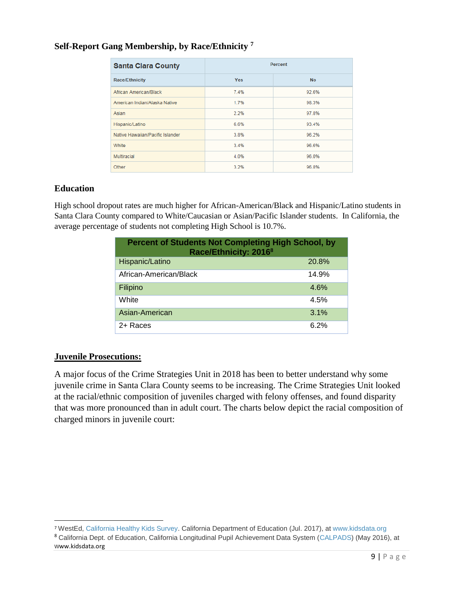#### **Self-Report Gang Membership, by Race/Ethnicity <sup>7</sup>**

| <b>Santa Clara County</b>        | <b>Percent</b> |           |  |  |
|----------------------------------|----------------|-----------|--|--|
| <b>Race/Ethnicity</b>            | <b>Yes</b>     | <b>No</b> |  |  |
| African American/Black           | 7.4%           | 92.6%     |  |  |
| American Indian/Alaska Native    | 1.7%           | 98.3%     |  |  |
| Asian                            | 2.2%           | 97.8%     |  |  |
| Hispanic/Latino                  | 6.6%           | 93.4%     |  |  |
| Native Hawaiian/Pacific Islander | 3.8%           | 96.2%     |  |  |
| White                            | 3.4%           | 96.6%     |  |  |
| Multiracial                      | 4.0%           | 96.0%     |  |  |
| Other                            | 3.2%           | 96.8%     |  |  |

#### **Education**

High school dropout rates are much higher for African-American/Black and Hispanic/Latino students in Santa Clara County compared to White/Caucasian or Asian/Pacific Islander students. In California, the average percentage of students not completing High School is 10.7%.

| <b>Percent of Students Not Completing High School, by</b><br>Race/Ethnicity: 2016 <sup>8</sup> |       |  |  |
|------------------------------------------------------------------------------------------------|-------|--|--|
| Hispanic/Latino                                                                                | 20.8% |  |  |
| African-American/Black                                                                         | 14.9% |  |  |
| Filipino                                                                                       | 4.6%  |  |  |
| White                                                                                          | 4.5%  |  |  |
| Asian-American                                                                                 | 3.1%  |  |  |
| 2+ Races                                                                                       | 6.2%  |  |  |

#### **Juvenile Prosecutions:**

 $\overline{\phantom{a}}$ 

A major focus of the Crime Strategies Unit in 2018 has been to better understand why some juvenile crime in Santa Clara County seems to be increasing. The Crime Strategies Unit looked at the racial/ethnic composition of juveniles charged with felony offenses, and found disparity that was more pronounced than in adult court. The charts below depict the racial composition of charged minors in juvenile court:

<sup>7</sup> WestEd[, California Healthy Kids Survey.](http://chks.wested.org/) California Department of Education (Jul. 2017), at [www.kidsdata.org](http://www.kidsdata.org/) <sup>8</sup> California Dept. of Education, California Longitudinal Pupil Achievement Data System [\(CALPADS\)](http://www.cde.ca.gov/ds/sd/sd/filescohort.asp) (May 2016), at www.kidsdata.org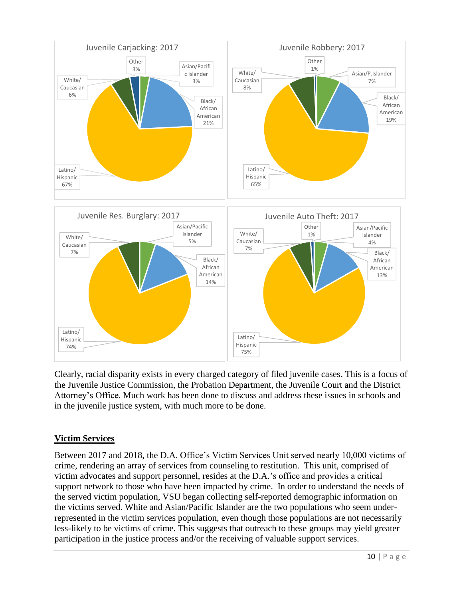

Clearly, racial disparity exists in every charged category of filed juvenile cases. This is a focus of the Juvenile Justice Commission, the Probation Department, the Juvenile Court and the District Attorney's Office. Much work has been done to discuss and address these issues in schools and in the juvenile justice system, with much more to be done.

### **Victim Services**

Between 2017 and 2018, the D.A. Office's Victim Services Unit served nearly 10,000 victims of crime, rendering an array of services from counseling to restitution. This unit, comprised of victim advocates and support personnel, resides at the D.A.'s office and provides a critical support network to those who have been impacted by crime. In order to understand the needs of the served victim population, VSU began collecting self-reported demographic information on the victims served. White and Asian/Pacific Islander are the two populations who seem underrepresented in the victim services population, even though those populations are not necessarily less-likely to be victims of crime. This suggests that outreach to these groups may yield greater participation in the justice process and/or the receiving of valuable support services.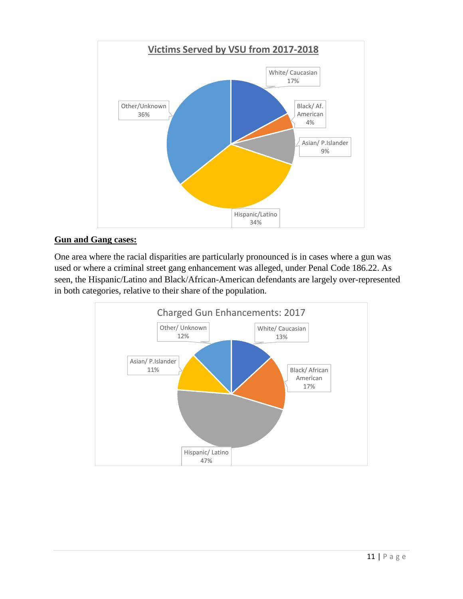

### **Gun and Gang cases:**

One area where the racial disparities are particularly pronounced is in cases where a gun was used or where a criminal street gang enhancement was alleged, under Penal Code 186.22. As seen, the Hispanic/Latino and Black/African-American defendants are largely over-represented in both categories, relative to their share of the population.

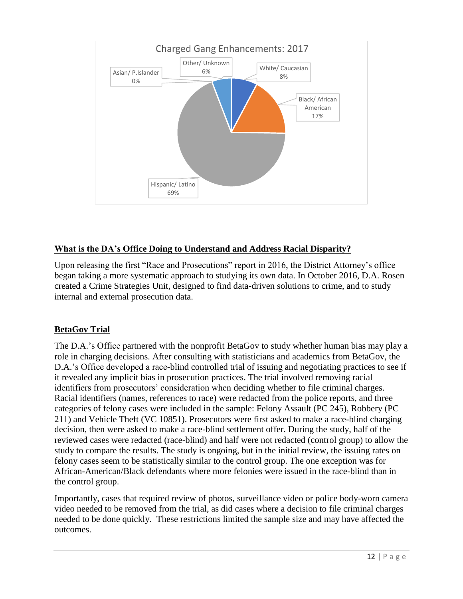

### **What is the DA's Office Doing to Understand and Address Racial Disparity?**

Upon releasing the first "Race and Prosecutions" report in 2016, the District Attorney's office began taking a more systematic approach to studying its own data. In October 2016, D.A. Rosen created a Crime Strategies Unit, designed to find data-driven solutions to crime, and to study internal and external prosecution data.

### **BetaGov Trial**

The D.A.'s Office partnered with the nonprofit BetaGov to study whether human bias may play a role in charging decisions. After consulting with statisticians and academics from BetaGov, the D.A.'s Office developed a race-blind controlled trial of issuing and negotiating practices to see if it revealed any implicit bias in prosecution practices. The trial involved removing racial identifiers from prosecutors' consideration when deciding whether to file criminal charges. Racial identifiers (names, references to race) were redacted from the police reports, and three categories of felony cases were included in the sample: Felony Assault (PC 245), Robbery (PC 211) and Vehicle Theft (VC 10851). Prosecutors were first asked to make a race-blind charging decision, then were asked to make a race-blind settlement offer. During the study, half of the reviewed cases were redacted (race-blind) and half were not redacted (control group) to allow the study to compare the results. The study is ongoing, but in the initial review, the issuing rates on felony cases seem to be statistically similar to the control group. The one exception was for African-American/Black defendants where more felonies were issued in the race-blind than in the control group.

Importantly, cases that required review of photos, surveillance video or police body-worn camera video needed to be removed from the trial, as did cases where a decision to file criminal charges needed to be done quickly. These restrictions limited the sample size and may have affected the outcomes.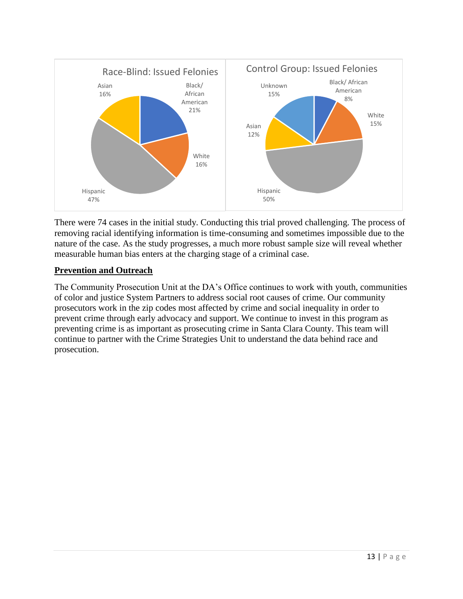

There were 74 cases in the initial study. Conducting this trial proved challenging. The process of removing racial identifying information is time-consuming and sometimes impossible due to the nature of the case. As the study progresses, a much more robust sample size will reveal whether measurable human bias enters at the charging stage of a criminal case.

#### **Prevention and Outreach**

The Community Prosecution Unit at the DA's Office continues to work with youth, communities of color and justice System Partners to address social root causes of crime. Our community prosecutors work in the zip codes most affected by crime and social inequality in order to prevent crime through early advocacy and support. We continue to invest in this program as preventing crime is as important as prosecuting crime in Santa Clara County. This team will continue to partner with the Crime Strategies Unit to understand the data behind race and prosecution.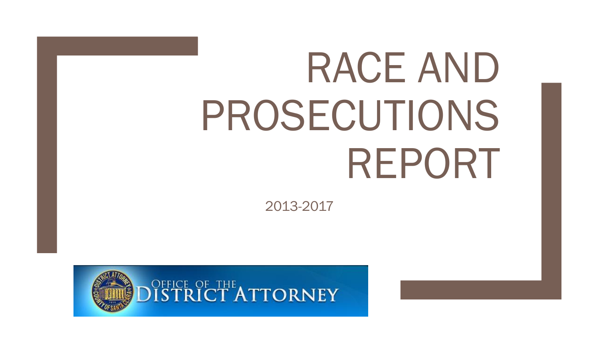# RACE AND PROSECUTIONS REPORT

2013-2017

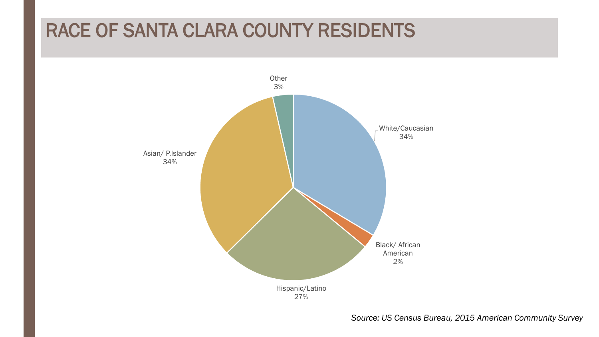# RACE OF SANTA CLARA COUNTY RESIDENTS



*Source: US Census Bureau, 2015 American Community Survey*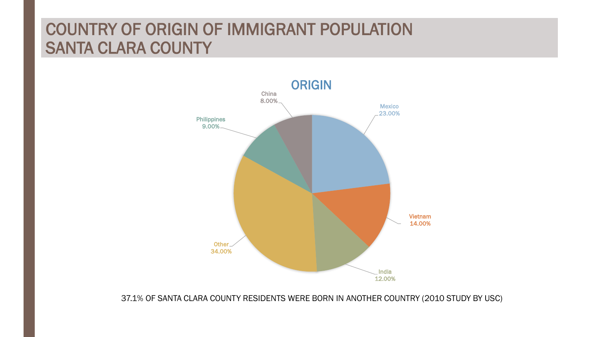### COUNTRY OF ORIGIN OF IMMIGRANT POPULATION SANTA CLARA COUNTY



37.1% OF SANTA CLARA COUNTY RESIDENTS WERE BORN IN ANOTHER COUNTRY (2010 STUDY BY USC)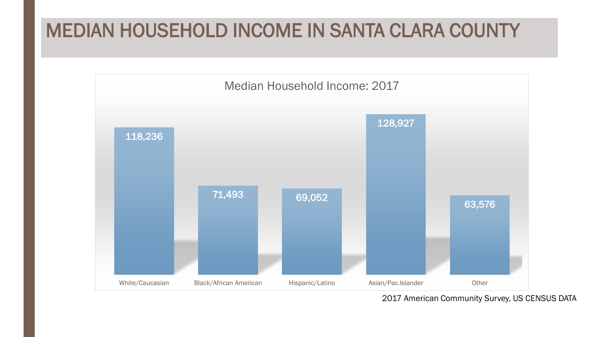# MEDIAN HOUSEHOLD INCOME IN SANTA CLARA COUNTY



2017 American Community Survey, US CENSUS DATA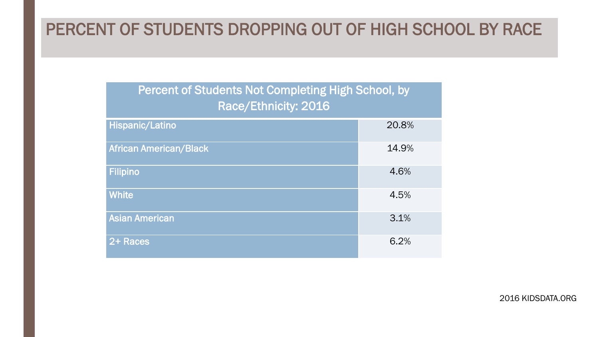### PERCENT OF STUDENTS DROPPING OUT OF HIGH SCHOOL BY RACE

| Percent of Students Not Completing High School, by<br>Race/Ethnicity: 2016 |       |  |  |  |
|----------------------------------------------------------------------------|-------|--|--|--|
| Hispanic/Latino                                                            | 20.8% |  |  |  |
| <b>African American/Black</b>                                              | 14.9% |  |  |  |
| <b>Filipino</b>                                                            | 4.6%  |  |  |  |
| <b>White</b>                                                               | 4.5%  |  |  |  |
| <b>Asian American</b>                                                      | 3.1%  |  |  |  |
| 2+ Races                                                                   | 6.2%  |  |  |  |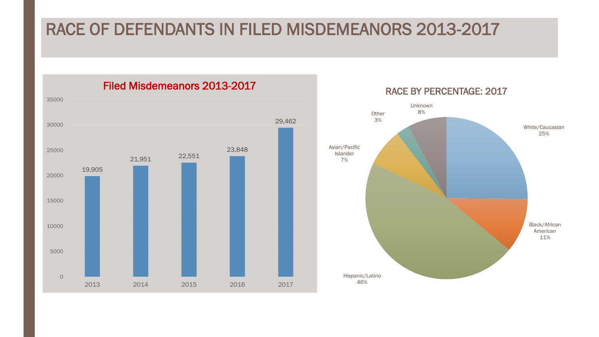### RACE OF DEFENDANTS IN FILED MISDEMEANORS 2013-2017

19,905 21,951 22,551 23,848 29,462 0 5000 10000 15000 20000 25000 30000 35000 2013 2014 2015 2016 2017

Filed Misdemeanors 2013-2017

RACE BY PERCENTAGE: 2017

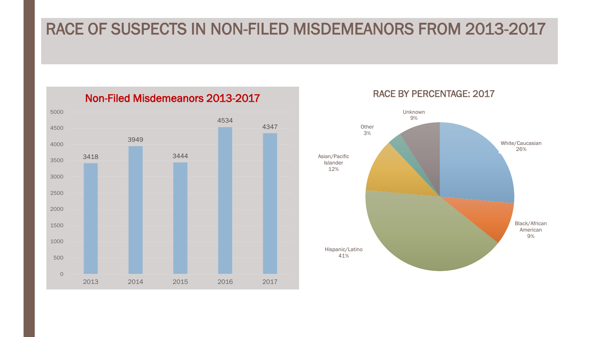### RACE OF SUSPECTS IN NON-FILED MISDEMEANORS FROM 2013-2017

3418 3949 3444 4534 4347 0 500 1000 1500 2000 2500 3000 3500 4000 4500 5000 2013 2014 2015 2016 2017

Non-Filed Misdemeanors 2013-2017



### RACE BY PERCENTAGE: 2017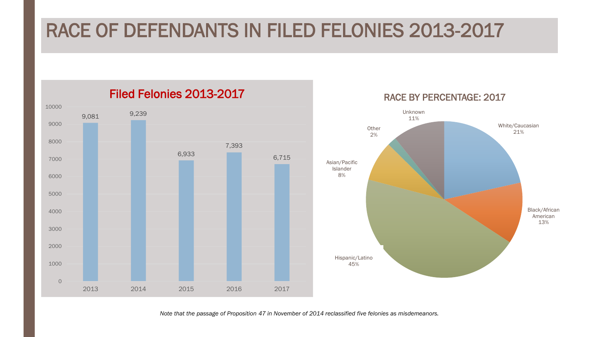# RACE OF DEFENDANTS IN FILED FELONIES 2013-2017



*Note that the passage of Proposition 47 in November of 2014 reclassified five felonies as misdemeanors.*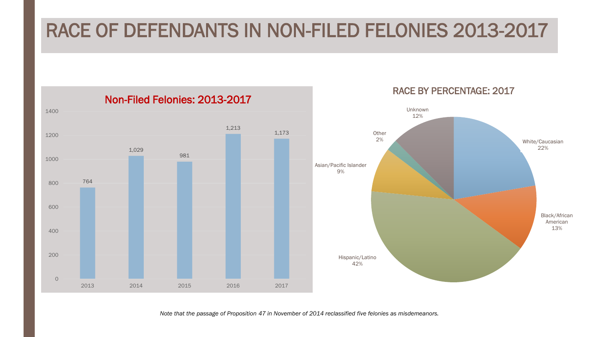# RACE OF DEFENDANTS IN NON-FILED FELONIES 2013-2017

White/Caucasian 22% Black/African American 13% Hispanic/Latino 42% Asian/Pacific Islander 9% **Other** 2% Unknown 12% RACE BY PERCENTAGE: 2017 764 1,029 981 1,213 1,173 0 200 400 600 800 1000 1200 1400 2013 2014 2015 2016 2017 Non-Filed Felonies: 2013-2017

*Note that the passage of Proposition 47 in November of 2014 reclassified five felonies as misdemeanors.*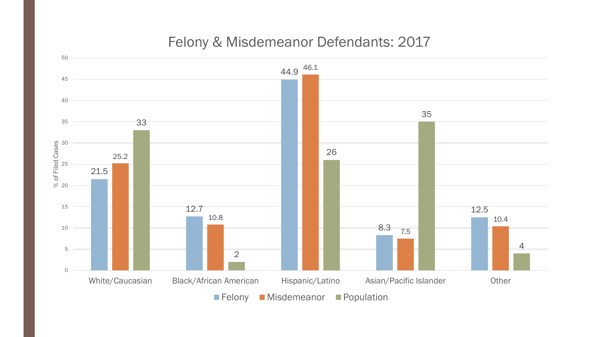

### Felony & Misdemeanor Defendants: 2017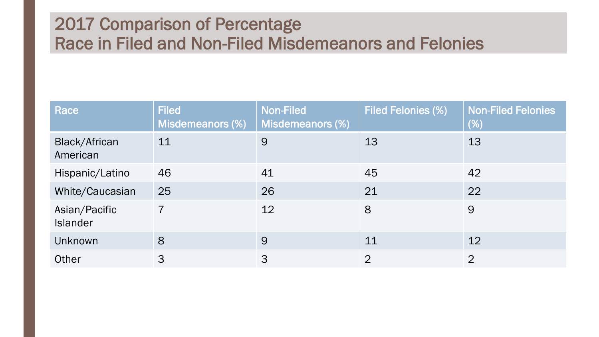### 2017 Comparison of Percentage Race in Filed and Non-Filed Misdemeanors and Felonies

| Race                             | <b>Filed</b><br>Misdemeanors (%) | <b>Non-Filed</b><br>Misdemeanors (%) | <b>Filed Felonies (%)</b> | <b>Non-Filed Felonies</b><br>$(\%)$ |
|----------------------------------|----------------------------------|--------------------------------------|---------------------------|-------------------------------------|
| <b>Black/African</b><br>American | 11                               | 9                                    | 13                        | 13                                  |
| Hispanic/Latino                  | 46                               | 41                                   | 45                        | 42                                  |
| White/Caucasian                  | 25                               | 26                                   | 21                        | 22                                  |
| Asian/Pacific<br><b>Islander</b> | $\overline{7}$                   | 12                                   | 8                         | 9                                   |
| Unknown                          | 8                                | 9                                    | 11                        | 12                                  |
| Other                            | 3                                | 3                                    | $\overline{2}$            | $\overline{2}$                      |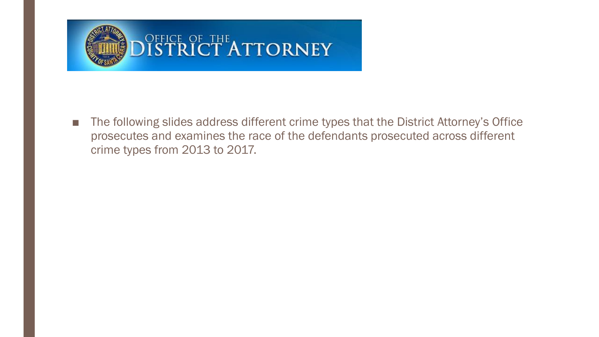

■ The following slides address different crime types that the District Attorney's Office prosecutes and examines the race of the defendants prosecuted across different crime types from 2013 to 2017.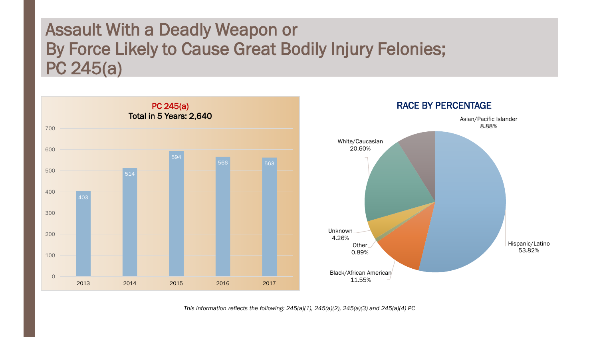### Assault With a Deadly Weapon or By Force Likely to Cause Great Bodily Injury Felonies; PC 245(a)



*This information reflects the following: 245(a)(1), 245(a)(2), 245(a)(3) and 245(a)(4) PC*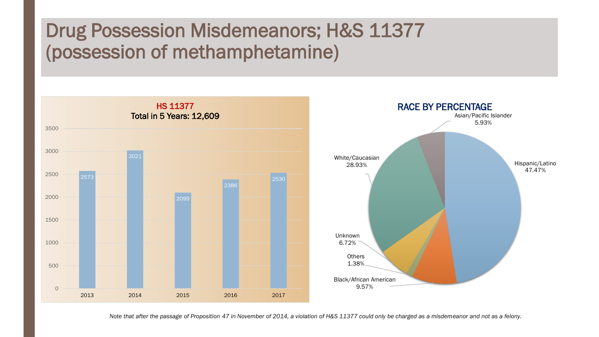# Drug Possession Misdemeanors; H&S 11377 (possession of methamphetamine)





*Note that after the passage of Proposition 47 in November of 2014, a violation of H&S 11377 could only be charged as a misdemeanor and not as a felony.*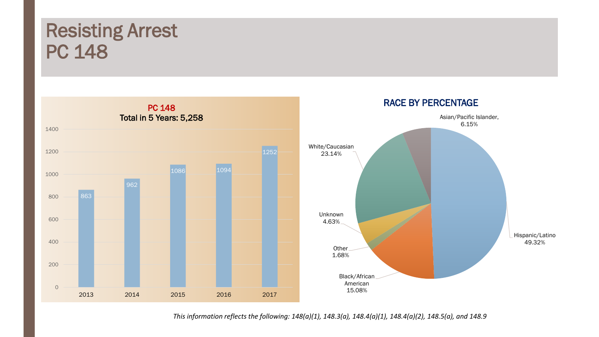# Resisting Arrest PC 148



*This information reflects the following: 148(a)(1), 148.3(a), 148.4(a)(1), 148.4(a)(2), 148.5(a), and 148.9*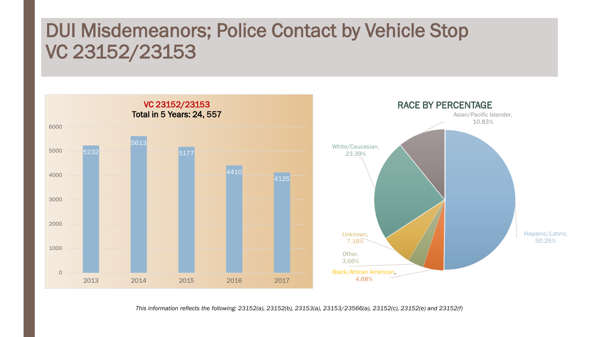# DUI Misdemeanors; Police Contact by Vehicle Stop VC 23152/23153



*This information reflects the following: 23152(a), 23152(b), 23153(a), 23153/23566(a), 23152(c), 23152(e) and 23152(f)*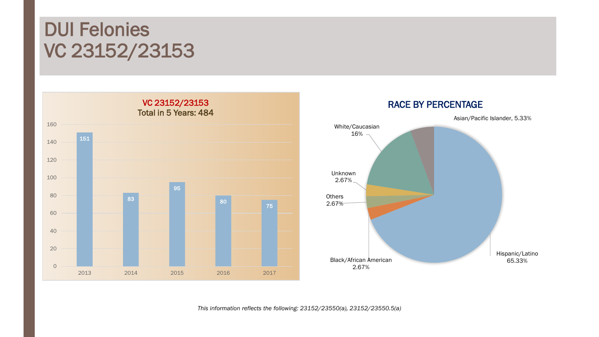# DUI Felonies VC 23152/23153





*This information reflects the following: 23152/23550(a), 23152/23550.5(a)*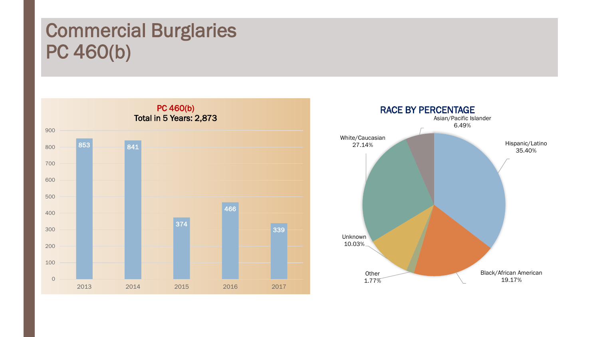# Commercial Burglaries PC 460(b)



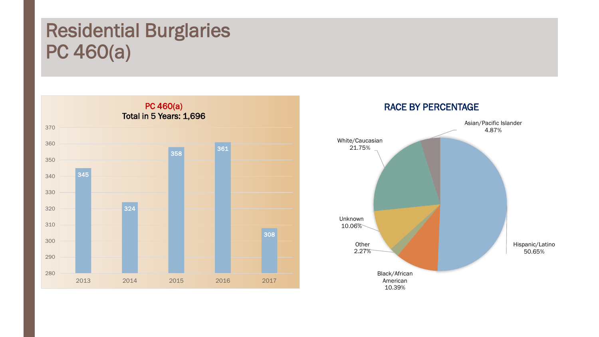# Residential Burglaries PC 460(a)



# Asian/Pacific Islander 4.87% RACE BY PERCENTAGE

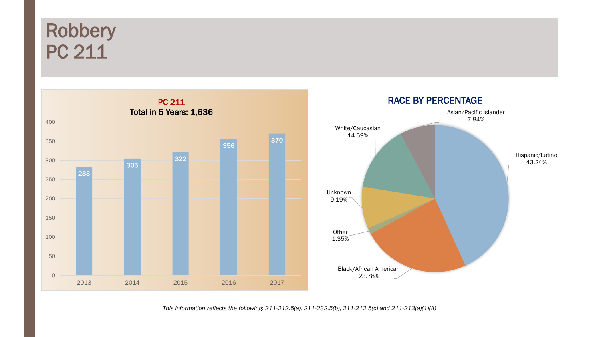# Robbery PC 211





*This information reflects the following: 211-212.5(a), 211-232.5(b), 211-212.5(c) and 211-213(a)(1)(A)*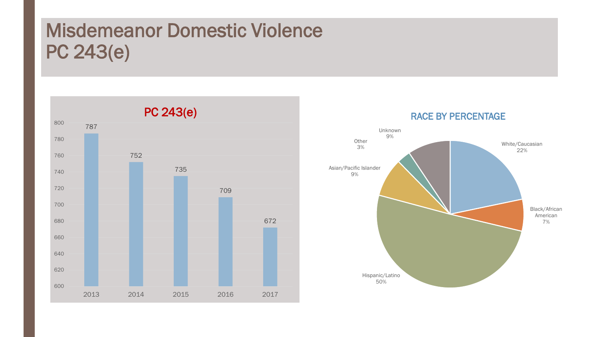# Misdemeanor Domestic Violence PC 243(e)



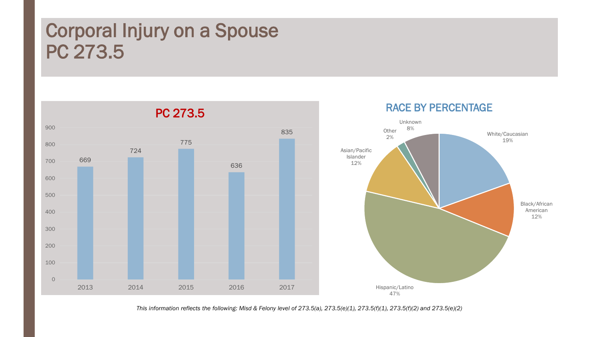# Corporal Injury on a Spouse PC 273.5



*This information reflects the following: Misd & Felony level of 273.5(a), 273.5(e)(1), 273.5(f)(1), 273.5(f)(2) and 273.5(e)(2)*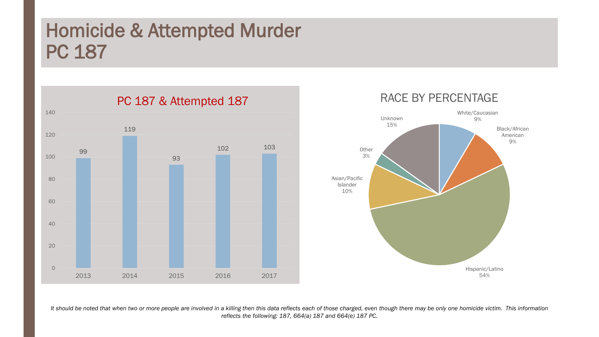# Homicide & Attempted Murder PC 187







*It should be noted that when two or more people are involved in a killing then this data reflects each of those charged, even though there may be only one homicide victim. This information reflects the following: 187, 664(a) 187 and 664(e) 187 PC.*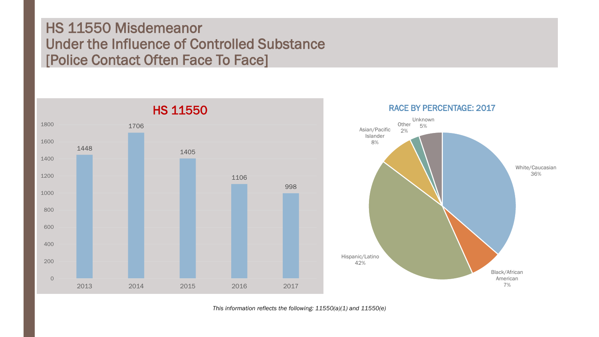### HS 11550 Misdemeanor Under the Influence of Controlled Substance [Police Contact Often Face To Face]



*This information reflects the following: 11550(a)(1) and 11550(e)*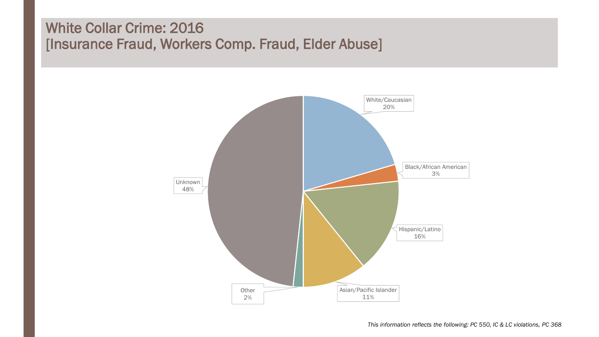### White Collar Crime: 2016 [Insurance Fraud, Workers Comp. Fraud, Elder Abuse]

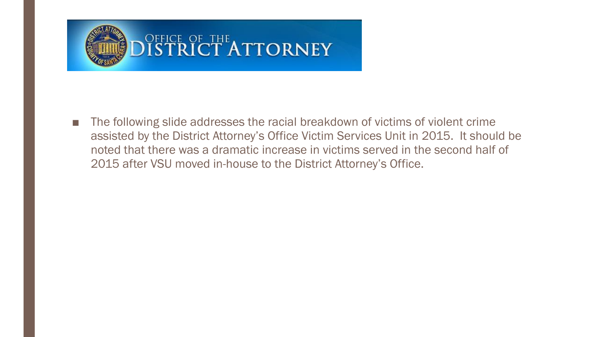

■ The following slide addresses the racial breakdown of victims of violent crime assisted by the District Attorney's Office Victim Services Unit in 2015. It should be noted that there was a dramatic increase in victims served in the second half of 2015 after VSU moved in-house to the District Attorney's Office.